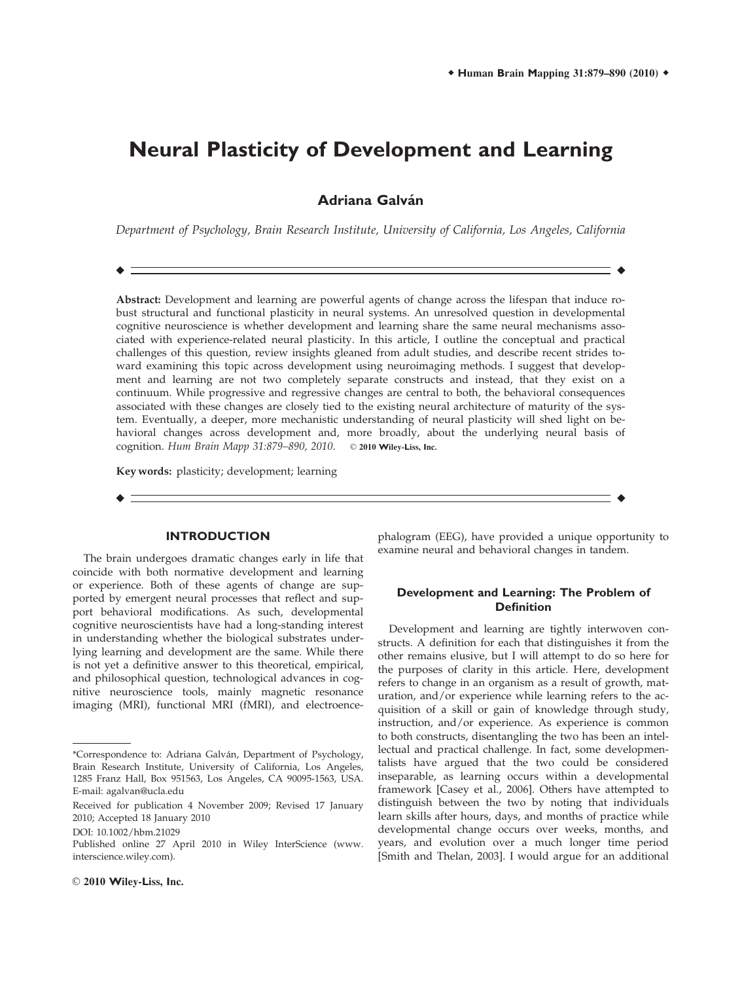# **Neural Plasticity of Development and Learning**

**Adriana Galván** 

Department of Psychology, Brain Research Institute, University of California, Los Angeles, California

**example: The contract of the contract of the contract of the contract of the contract of the contract of the c** 

Abstract: Development and learning are powerful agents of change across the lifespan that induce robust structural and functional plasticity in neural systems. An unresolved question in developmental cognitive neuroscience is whether development and learning share the same neural mechanisms associated with experience-related neural plasticity. In this article, I outline the conceptual and practical challenges of this question, review insights gleaned from adult studies, and describe recent strides toward examining this topic across development using neuroimaging methods. I suggest that development and learning are not two completely separate constructs and instead, that they exist on a continuum. While progressive and regressive changes are central to both, the behavioral consequences associated with these changes are closely tied to the existing neural architecture of maturity of the system. Eventually, a deeper, more mechanistic understanding of neural plasticity will shed light on behavioral changes across development and, more broadly, about the underlying neural basis of cognition. Hum Brain Mapp 31:879–890, 2010. © 2010 Wiley-Liss, Inc.

r r

Key words: plasticity; development; learning

#### **INTRODUCTION**

The brain undergoes dramatic changes early in life that coincide with both normative development and learning or experience. Both of these agents of change are supported by emergent neural processes that reflect and support behavioral modifications. As such, developmental cognitive neuroscientists have had a long-standing interest in understanding whether the biological substrates underlying learning and development are the same. While there is not yet a definitive answer to this theoretical, empirical, and philosophical question, technological advances in cognitive neuroscience tools, mainly magnetic resonance imaging (MRI), functional MRI (fMRI), and electroencephalogram (EEG), have provided a unique opportunity to examine neural and behavioral changes in tandem.

## **Development and Learning: The Problem of Definition**

Development and learning are tightly interwoven constructs. A definition for each that distinguishes it from the other remains elusive, but I will attempt to do so here for the purposes of clarity in this article. Here, development refers to change in an organism as a result of growth, maturation, and/or experience while learning refers to the acquisition of a skill or gain of knowledge through study, instruction, and/or experience. As experience is common to both constructs, disentangling the two has been an intellectual and practical challenge. In fact, some developmentalists have argued that the two could be considered inseparable, as learning occurs within a developmental framework [Casey et al., 2006]. Others have attempted to distinguish between the two by noting that individuals learn skills after hours, days, and months of practice while developmental change occurs over weeks, months, and years, and evolution over a much longer time period [Smith and Thelan, 2003]. I would argue for an additional

<sup>\*</sup>Correspondence to: Adriana Galván, Department of Psychology, Brain Research Institute, University of California, Los Angeles, 1285 Franz Hall, Box 951563, Los Angeles, CA 90095-1563, USA. E-mail: agalvan@ucla.edu

Received for publication 4 November 2009; Revised 17 January 2010; Accepted 18 January 2010

DOI: 10.1002/hbm.21029

Published online 27 April 2010 in Wiley InterScience (www. interscience.wiley.com).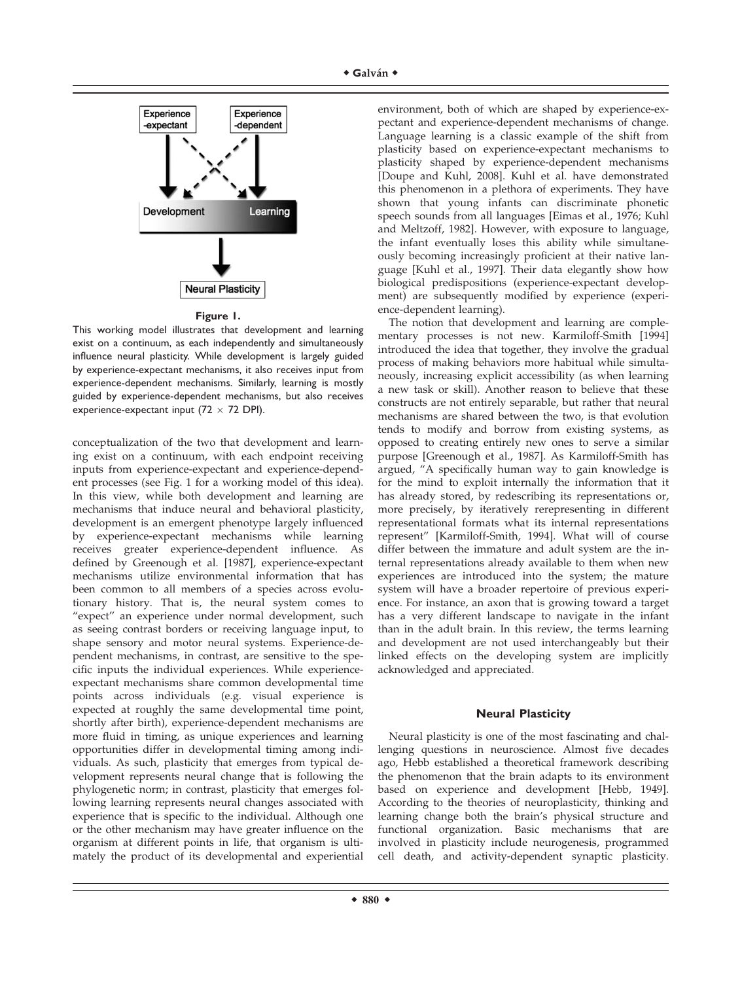

#### **Figure 1.**

This working model illustrates that development and learning exist on a continuum, as each independently and simultaneously influence neural plasticity. While development is largely guided by experience-expectant mechanisms, it also receives input from experience-dependent mechanisms. Similarly, learning is mostly guided by experience-dependent mechanisms, but also receives experience-expectant input  $(72 \times 72 \text{ DPI})$ .

conceptualization of the two that development and learning exist on a continuum, with each endpoint receiving inputs from experience-expectant and experience-dependent processes (see Fig. 1 for a working model of this idea). In this view, while both development and learning are mechanisms that induce neural and behavioral plasticity, development is an emergent phenotype largely influenced by experience-expectant mechanisms while learning receives greater experience-dependent influence. As defined by Greenough et al. [1987], experience-expectant mechanisms utilize environmental information that has been common to all members of a species across evolutionary history. That is, the neural system comes to "expect" an experience under normal development, such as seeing contrast borders or receiving language input, to shape sensory and motor neural systems. Experience-dependent mechanisms, in contrast, are sensitive to the specific inputs the individual experiences. While experienceexpectant mechanisms share common developmental time points across individuals (e.g. visual experience is expected at roughly the same developmental time point, shortly after birth), experience-dependent mechanisms are more fluid in timing, as unique experiences and learning opportunities differ in developmental timing among individuals. As such, plasticity that emerges from typical development represents neural change that is following the phylogenetic norm; in contrast, plasticity that emerges following learning represents neural changes associated with experience that is specific to the individual. Although one or the other mechanism may have greater influence on the organism at different points in life, that organism is ultimately the product of its developmental and experiential

environment, both of which are shaped by experience-expectant and experience-dependent mechanisms of change. Language learning is a classic example of the shift from plasticity based on experience-expectant mechanisms to plasticity shaped by experience-dependent mechanisms [Doupe and Kuhl, 2008]. Kuhl et al. have demonstrated this phenomenon in a plethora of experiments. They have shown that young infants can discriminate phonetic speech sounds from all languages [Eimas et al., 1976; Kuhl and Meltzoff, 1982]. However, with exposure to language, the infant eventually loses this ability while simultaneously becoming increasingly proficient at their native language [Kuhl et al., 1997]. Their data elegantly show how biological predispositions (experience-expectant development) are subsequently modified by experience (experience-dependent learning).

The notion that development and learning are complementary processes is not new. Karmiloff-Smith [1994] introduced the idea that together, they involve the gradual process of making behaviors more habitual while simultaneously, increasing explicit accessibility (as when learning a new task or skill). Another reason to believe that these constructs are not entirely separable, but rather that neural mechanisms are shared between the two, is that evolution tends to modify and borrow from existing systems, as opposed to creating entirely new ones to serve a similar purpose [Greenough et al., 1987]. As Karmiloff-Smith has argued, ''A specifically human way to gain knowledge is for the mind to exploit internally the information that it has already stored, by redescribing its representations or, more precisely, by iteratively rerepresenting in different representational formats what its internal representations represent'' [Karmiloff-Smith, 1994]. What will of course differ between the immature and adult system are the internal representations already available to them when new experiences are introduced into the system; the mature system will have a broader repertoire of previous experience. For instance, an axon that is growing toward a target has a very different landscape to navigate in the infant than in the adult brain. In this review, the terms learning and development are not used interchangeably but their linked effects on the developing system are implicitly acknowledged and appreciated.

#### **Neural Plasticity**

Neural plasticity is one of the most fascinating and challenging questions in neuroscience. Almost five decades ago, Hebb established a theoretical framework describing the phenomenon that the brain adapts to its environment based on experience and development [Hebb, 1949]. According to the theories of neuroplasticity, thinking and learning change both the brain's physical structure and functional organization. Basic mechanisms that are involved in plasticity include neurogenesis, programmed cell death, and activity-dependent synaptic plasticity.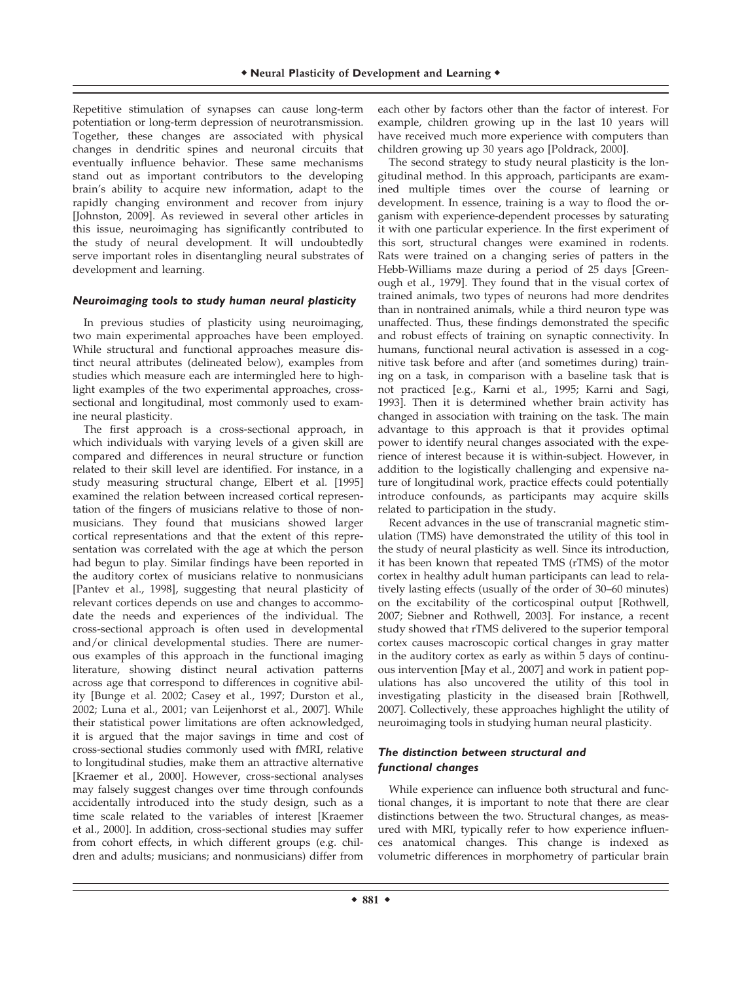Repetitive stimulation of synapses can cause long-term potentiation or long-term depression of neurotransmission. Together, these changes are associated with physical changes in dendritic spines and neuronal circuits that eventually influence behavior. These same mechanisms stand out as important contributors to the developing brain's ability to acquire new information, adapt to the rapidly changing environment and recover from injury [Johnston, 2009]. As reviewed in several other articles in this issue, neuroimaging has significantly contributed to the study of neural development. It will undoubtedly serve important roles in disentangling neural substrates of development and learning.

#### Neuroimaging tools to study human neural plasticity

In previous studies of plasticity using neuroimaging, two main experimental approaches have been employed. While structural and functional approaches measure distinct neural attributes (delineated below), examples from studies which measure each are intermingled here to highlight examples of the two experimental approaches, crosssectional and longitudinal, most commonly used to examine neural plasticity.

The first approach is a cross-sectional approach, in which individuals with varying levels of a given skill are compared and differences in neural structure or function related to their skill level are identified. For instance, in a study measuring structural change, Elbert et al. [1995] examined the relation between increased cortical representation of the fingers of musicians relative to those of nonmusicians. They found that musicians showed larger cortical representations and that the extent of this representation was correlated with the age at which the person had begun to play. Similar findings have been reported in the auditory cortex of musicians relative to nonmusicians [Pantev et al., 1998], suggesting that neural plasticity of relevant cortices depends on use and changes to accommodate the needs and experiences of the individual. The cross-sectional approach is often used in developmental and/or clinical developmental studies. There are numerous examples of this approach in the functional imaging literature, showing distinct neural activation patterns across age that correspond to differences in cognitive ability [Bunge et al. 2002; Casey et al., 1997; Durston et al., 2002; Luna et al., 2001; van Leijenhorst et al., 2007]. While their statistical power limitations are often acknowledged, it is argued that the major savings in time and cost of cross-sectional studies commonly used with fMRI, relative to longitudinal studies, make them an attractive alternative [Kraemer et al., 2000]. However, cross-sectional analyses may falsely suggest changes over time through confounds accidentally introduced into the study design, such as a time scale related to the variables of interest [Kraemer et al., 2000]. In addition, cross-sectional studies may suffer from cohort effects, in which different groups (e.g. children and adults; musicians; and nonmusicians) differ from

each other by factors other than the factor of interest. For example, children growing up in the last 10 years will have received much more experience with computers than children growing up 30 years ago [Poldrack, 2000].

The second strategy to study neural plasticity is the longitudinal method. In this approach, participants are examined multiple times over the course of learning or development. In essence, training is a way to flood the organism with experience-dependent processes by saturating it with one particular experience. In the first experiment of this sort, structural changes were examined in rodents. Rats were trained on a changing series of patters in the Hebb-Williams maze during a period of 25 days [Greenough et al., 1979]. They found that in the visual cortex of trained animals, two types of neurons had more dendrites than in nontrained animals, while a third neuron type was unaffected. Thus, these findings demonstrated the specific and robust effects of training on synaptic connectivity. In humans, functional neural activation is assessed in a cognitive task before and after (and sometimes during) training on a task, in comparison with a baseline task that is not practiced [e.g., Karni et al., 1995; Karni and Sagi, 1993]. Then it is determined whether brain activity has changed in association with training on the task. The main advantage to this approach is that it provides optimal power to identify neural changes associated with the experience of interest because it is within-subject. However, in addition to the logistically challenging and expensive nature of longitudinal work, practice effects could potentially introduce confounds, as participants may acquire skills related to participation in the study.

Recent advances in the use of transcranial magnetic stimulation (TMS) have demonstrated the utility of this tool in the study of neural plasticity as well. Since its introduction, it has been known that repeated TMS (rTMS) of the motor cortex in healthy adult human participants can lead to relatively lasting effects (usually of the order of 30–60 minutes) on the excitability of the corticospinal output [Rothwell, 2007; Siebner and Rothwell, 2003]. For instance, a recent study showed that rTMS delivered to the superior temporal cortex causes macroscopic cortical changes in gray matter in the auditory cortex as early as within 5 days of continuous intervention [May et al., 2007] and work in patient populations has also uncovered the utility of this tool in investigating plasticity in the diseased brain [Rothwell, 2007]. Collectively, these approaches highlight the utility of neuroimaging tools in studying human neural plasticity.

# The distinction between structural and functional changes

While experience can influence both structural and functional changes, it is important to note that there are clear distinctions between the two. Structural changes, as measured with MRI, typically refer to how experience influences anatomical changes. This change is indexed as volumetric differences in morphometry of particular brain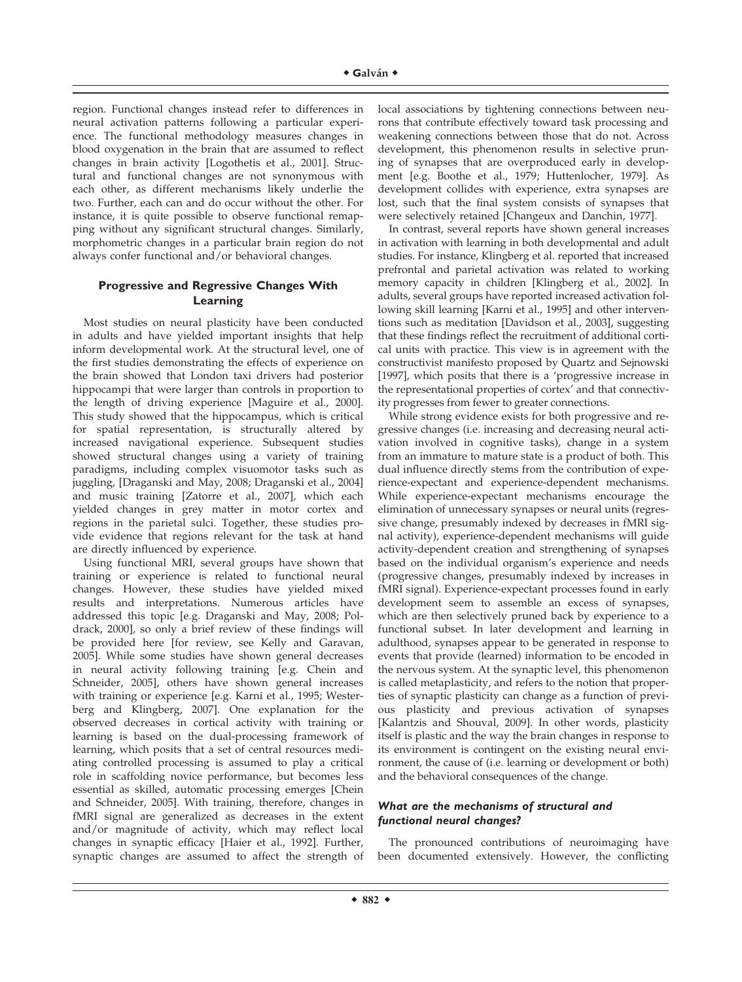region. Functional changes instead refer to differences in neural activation patterns following a particular experience. The functional methodology measures changes in blood oxygenation in the brain that are assumed to reflect changes in brain activity [Logothetis et al., 2001]. Structural and functional changes are not synonymous with each other, as different mechanisms likely underlie the two. Further, each can and do occur without the other. For instance, it is quite possible to observe functional remapping without any significant structural changes. Similarly, morphometric changes in a particular brain region do not always confer functional and/or behavioral changes.

## **Progressive and Regressive Changes With Learning**

Most studies on neural plasticity have been conducted in adults and have yielded important insights that help inform developmental work. At the structural level, one of the first studies demonstrating the effects of experience on the brain showed that London taxi drivers had posterior hippocampi that were larger than controls in proportion to the length of driving experience [Maguire et al., 2000]. This study showed that the hippocampus, which is critical for spatial representation, is structurally altered by increased navigational experience. Subsequent studies showed structural changes using a variety of training paradigms, including complex visuomotor tasks such as juggling, [Draganski and May, 2008; Draganski et al., 2004] and music training [Zatorre et al., 2007], which each yielded changes in grey matter in motor cortex and regions in the parietal sulci. Together, these studies provide evidence that regions relevant for the task at hand are directly influenced by experience.

Using functional MRI, several groups have shown that training or experience is related to functional neural changes. However, these studies have yielded mixed results and interpretations. Numerous articles have addressed this topic [e.g. Draganski and May, 2008; Poldrack, 2000], so only a brief review of these findings will be provided here [for review, see Kelly and Garavan, 2005]. While some studies have shown general decreases in neural activity following training [e.g. Chein and Schneider, 2005], others have shown general increases with training or experience [e.g. Karni et al., 1995; Westerberg and Klingberg, 2007]. One explanation for the observed decreases in cortical activity with training or learning is based on the dual-processing framework of learning, which posits that a set of central resources mediating controlled processing is assumed to play a critical role in scaffolding novice performance, but becomes less essential as skilled, automatic processing emerges [Chein and Schneider, 2005]. With training, therefore, changes in fMRI signal are generalized as decreases in the extent and/or magnitude of activity, which may reflect local changes in synaptic efficacy [Haier et al., 1992]. Further, synaptic changes are assumed to affect the strength of local associations by tightening connections between neurons that contribute effectively toward task processing and weakening connections between those that do not. Across development, this phenomenon results in selective pruning of synapses that are overproduced early in development [e.g. Boothe et al., 1979; Huttenlocher, 1979]. As development collides with experience, extra synapses are lost, such that the final system consists of synapses that were selectively retained [Changeux and Danchin, 1977].

In contrast, several reports have shown general increases in activation with learning in both developmental and adult studies. For instance, Klingberg et al. reported that increased prefrontal and parietal activation was related to working memory capacity in children [Klingberg et al., 2002]. In adults, several groups have reported increased activation following skill learning [Karni et al., 1995] and other interventions such as meditation [Davidson et al., 2003], suggesting that these findings reflect the recruitment of additional cortical units with practice. This view is in agreement with the constructivist manifesto proposed by Quartz and Sejnowski [1997], which posits that there is a 'progressive increase in the representational properties of cortex' and that connectivity progresses from fewer to greater connections.

While strong evidence exists for both progressive and regressive changes (i.e. increasing and decreasing neural activation involved in cognitive tasks), change in a system from an immature to mature state is a product of both. This dual influence directly stems from the contribution of experience-expectant and experience-dependent mechanisms. While experience-expectant mechanisms encourage the elimination of unnecessary synapses or neural units (regressive change, presumably indexed by decreases in fMRI signal activity), experience-dependent mechanisms will guide activity-dependent creation and strengthening of synapses based on the individual organism's experience and needs (progressive changes, presumably indexed by increases in fMRI signal). Experience-expectant processes found in early development seem to assemble an excess of synapses, which are then selectively pruned back by experience to a functional subset. In later development and learning in adulthood, synapses appear to be generated in response to events that provide (learned) information to be encoded in the nervous system. At the synaptic level, this phenomenon is called metaplasticity, and refers to the notion that properties of synaptic plasticity can change as a function of previous plasticity and previous activation of synapses [Kalantzis and Shouval, 2009]. In other words, plasticity itself is plastic and the way the brain changes in response to its environment is contingent on the existing neural environment, the cause of (i.e. learning or development or both) and the behavioral consequences of the change.

# What are the mechanisms of structural and functional neural changes?

The pronounced contributions of neuroimaging have been documented extensively. However, the conflicting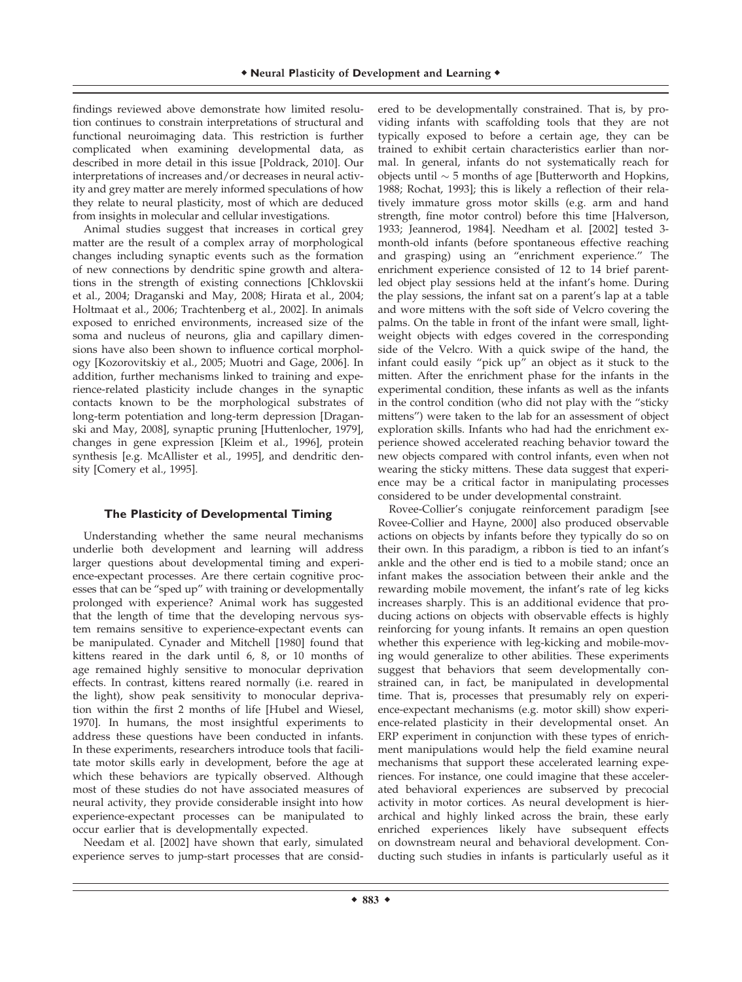findings reviewed above demonstrate how limited resolution continues to constrain interpretations of structural and functional neuroimaging data. This restriction is further complicated when examining developmental data, as described in more detail in this issue [Poldrack, 2010]. Our interpretations of increases and/or decreases in neural activity and grey matter are merely informed speculations of how they relate to neural plasticity, most of which are deduced from insights in molecular and cellular investigations.

Animal studies suggest that increases in cortical grey matter are the result of a complex array of morphological changes including synaptic events such as the formation of new connections by dendritic spine growth and alterations in the strength of existing connections [Chklovskii et al., 2004; Draganski and May, 2008; Hirata et al., 2004; Holtmaat et al., 2006; Trachtenberg et al., 2002]. In animals exposed to enriched environments, increased size of the soma and nucleus of neurons, glia and capillary dimensions have also been shown to influence cortical morphology [Kozorovitskiy et al., 2005; Muotri and Gage, 2006]. In addition, further mechanisms linked to training and experience-related plasticity include changes in the synaptic contacts known to be the morphological substrates of long-term potentiation and long-term depression [Draganski and May, 2008], synaptic pruning [Huttenlocher, 1979], changes in gene expression [Kleim et al., 1996], protein synthesis [e.g. McAllister et al., 1995], and dendritic density [Comery et al., 1995].

#### **The Plasticity of Developmental Timing**

Understanding whether the same neural mechanisms underlie both development and learning will address larger questions about developmental timing and experience-expectant processes. Are there certain cognitive processes that can be "sped up" with training or developmentally prolonged with experience? Animal work has suggested that the length of time that the developing nervous system remains sensitive to experience-expectant events can be manipulated. Cynader and Mitchell [1980] found that kittens reared in the dark until 6, 8, or 10 months of age remained highly sensitive to monocular deprivation effects. In contrast, kittens reared normally (i.e. reared in the light), show peak sensitivity to monocular deprivation within the first 2 months of life [Hubel and Wiesel, 1970]. In humans, the most insightful experiments to address these questions have been conducted in infants. In these experiments, researchers introduce tools that facilitate motor skills early in development, before the age at which these behaviors are typically observed. Although most of these studies do not have associated measures of neural activity, they provide considerable insight into how experience-expectant processes can be manipulated to occur earlier that is developmentally expected.

Needam et al. [2002] have shown that early, simulated experience serves to jump-start processes that are considered to be developmentally constrained. That is, by providing infants with scaffolding tools that they are not typically exposed to before a certain age, they can be trained to exhibit certain characteristics earlier than normal. In general, infants do not systematically reach for objects until  $\sim$  5 months of age [Butterworth and Hopkins, 1988; Rochat, 1993]; this is likely a reflection of their relatively immature gross motor skills (e.g. arm and hand strength, fine motor control) before this time [Halverson, 1933; Jeannerod, 1984]. Needham et al. [2002] tested 3 month-old infants (before spontaneous effective reaching and grasping) using an ''enrichment experience.'' The enrichment experience consisted of 12 to 14 brief parentled object play sessions held at the infant's home. During the play sessions, the infant sat on a parent's lap at a table and wore mittens with the soft side of Velcro covering the palms. On the table in front of the infant were small, lightweight objects with edges covered in the corresponding side of the Velcro. With a quick swipe of the hand, the infant could easily ''pick up'' an object as it stuck to the mitten. After the enrichment phase for the infants in the experimental condition, these infants as well as the infants in the control condition (who did not play with the ''sticky mittens'') were taken to the lab for an assessment of object exploration skills. Infants who had had the enrichment experience showed accelerated reaching behavior toward the new objects compared with control infants, even when not wearing the sticky mittens. These data suggest that experience may be a critical factor in manipulating processes considered to be under developmental constraint.

Rovee-Collier's conjugate reinforcement paradigm [see Rovee-Collier and Hayne, 2000] also produced observable actions on objects by infants before they typically do so on their own. In this paradigm, a ribbon is tied to an infant's ankle and the other end is tied to a mobile stand; once an infant makes the association between their ankle and the rewarding mobile movement, the infant's rate of leg kicks increases sharply. This is an additional evidence that producing actions on objects with observable effects is highly reinforcing for young infants. It remains an open question whether this experience with leg-kicking and mobile-moving would generalize to other abilities. These experiments suggest that behaviors that seem developmentally constrained can, in fact, be manipulated in developmental time. That is, processes that presumably rely on experience-expectant mechanisms (e.g. motor skill) show experience-related plasticity in their developmental onset. An ERP experiment in conjunction with these types of enrichment manipulations would help the field examine neural mechanisms that support these accelerated learning experiences. For instance, one could imagine that these accelerated behavioral experiences are subserved by precocial activity in motor cortices. As neural development is hierarchical and highly linked across the brain, these early enriched experiences likely have subsequent effects on downstream neural and behavioral development. Conducting such studies in infants is particularly useful as it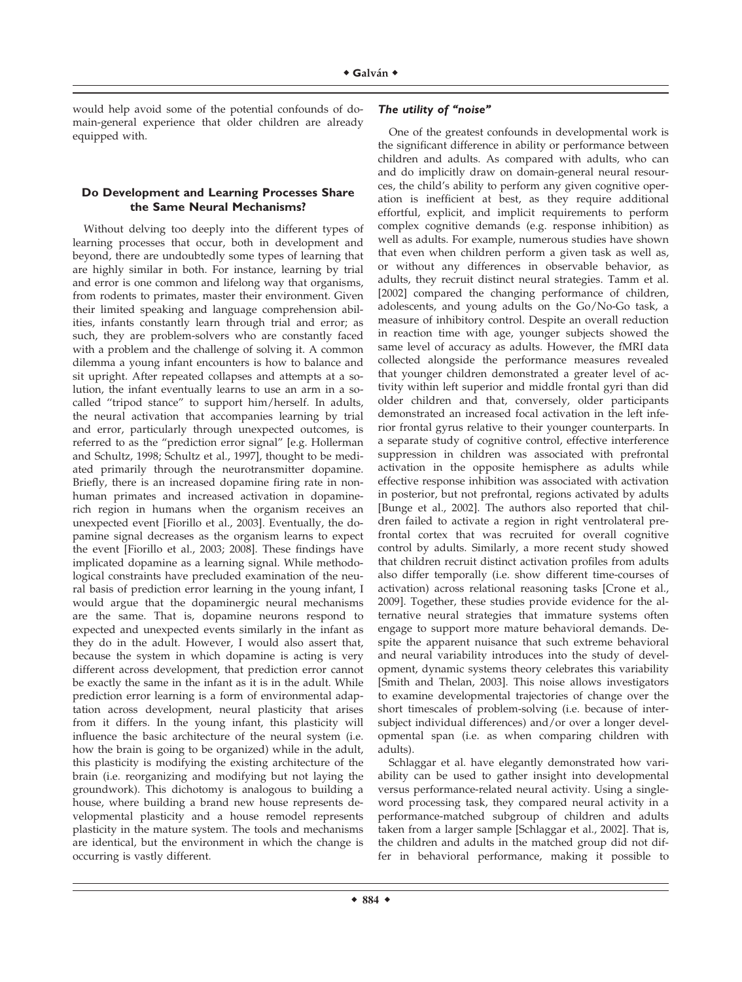would help avoid some of the potential confounds of domain-general experience that older children are already equipped with.

## **Do Development and Learning Processes Share the Same Neural Mechanisms?**

Without delving too deeply into the different types of learning processes that occur, both in development and beyond, there are undoubtedly some types of learning that are highly similar in both. For instance, learning by trial and error is one common and lifelong way that organisms, from rodents to primates, master their environment. Given their limited speaking and language comprehension abilities, infants constantly learn through trial and error; as such, they are problem-solvers who are constantly faced with a problem and the challenge of solving it. A common dilemma a young infant encounters is how to balance and sit upright. After repeated collapses and attempts at a solution, the infant eventually learns to use an arm in a socalled ''tripod stance'' to support him/herself. In adults, the neural activation that accompanies learning by trial and error, particularly through unexpected outcomes, is referred to as the ''prediction error signal'' [e.g. Hollerman and Schultz, 1998; Schultz et al., 1997], thought to be mediated primarily through the neurotransmitter dopamine. Briefly, there is an increased dopamine firing rate in nonhuman primates and increased activation in dopaminerich region in humans when the organism receives an unexpected event [Fiorillo et al., 2003]. Eventually, the dopamine signal decreases as the organism learns to expect the event [Fiorillo et al., 2003; 2008]. These findings have implicated dopamine as a learning signal. While methodological constraints have precluded examination of the neural basis of prediction error learning in the young infant, I would argue that the dopaminergic neural mechanisms are the same. That is, dopamine neurons respond to expected and unexpected events similarly in the infant as they do in the adult. However, I would also assert that, because the system in which dopamine is acting is very different across development, that prediction error cannot be exactly the same in the infant as it is in the adult. While prediction error learning is a form of environmental adaptation across development, neural plasticity that arises from it differs. In the young infant, this plasticity will influence the basic architecture of the neural system (i.e. how the brain is going to be organized) while in the adult, this plasticity is modifying the existing architecture of the brain (i.e. reorganizing and modifying but not laying the groundwork). This dichotomy is analogous to building a house, where building a brand new house represents developmental plasticity and a house remodel represents plasticity in the mature system. The tools and mechanisms are identical, but the environment in which the change is occurring is vastly different.

## The utility of "noise"

One of the greatest confounds in developmental work is the significant difference in ability or performance between children and adults. As compared with adults, who can and do implicitly draw on domain-general neural resources, the child's ability to perform any given cognitive operation is inefficient at best, as they require additional effortful, explicit, and implicit requirements to perform complex cognitive demands (e.g. response inhibition) as well as adults. For example, numerous studies have shown that even when children perform a given task as well as, or without any differences in observable behavior, as adults, they recruit distinct neural strategies. Tamm et al. [2002] compared the changing performance of children, adolescents, and young adults on the Go/No-Go task, a measure of inhibitory control. Despite an overall reduction in reaction time with age, younger subjects showed the same level of accuracy as adults. However, the fMRI data collected alongside the performance measures revealed that younger children demonstrated a greater level of activity within left superior and middle frontal gyri than did older children and that, conversely, older participants demonstrated an increased focal activation in the left inferior frontal gyrus relative to their younger counterparts. In a separate study of cognitive control, effective interference suppression in children was associated with prefrontal activation in the opposite hemisphere as adults while effective response inhibition was associated with activation in posterior, but not prefrontal, regions activated by adults [Bunge et al., 2002]. The authors also reported that children failed to activate a region in right ventrolateral prefrontal cortex that was recruited for overall cognitive control by adults. Similarly, a more recent study showed that children recruit distinct activation profiles from adults also differ temporally (i.e. show different time-courses of activation) across relational reasoning tasks [Crone et al., 2009]. Together, these studies provide evidence for the alternative neural strategies that immature systems often engage to support more mature behavioral demands. Despite the apparent nuisance that such extreme behavioral and neural variability introduces into the study of development, dynamic systems theory celebrates this variability [Smith and Thelan, 2003]. This noise allows investigators to examine developmental trajectories of change over the short timescales of problem-solving (i.e. because of intersubject individual differences) and/or over a longer developmental span (i.e. as when comparing children with adults).

Schlaggar et al. have elegantly demonstrated how variability can be used to gather insight into developmental versus performance-related neural activity. Using a singleword processing task, they compared neural activity in a performance-matched subgroup of children and adults taken from a larger sample [Schlaggar et al., 2002]. That is, the children and adults in the matched group did not differ in behavioral performance, making it possible to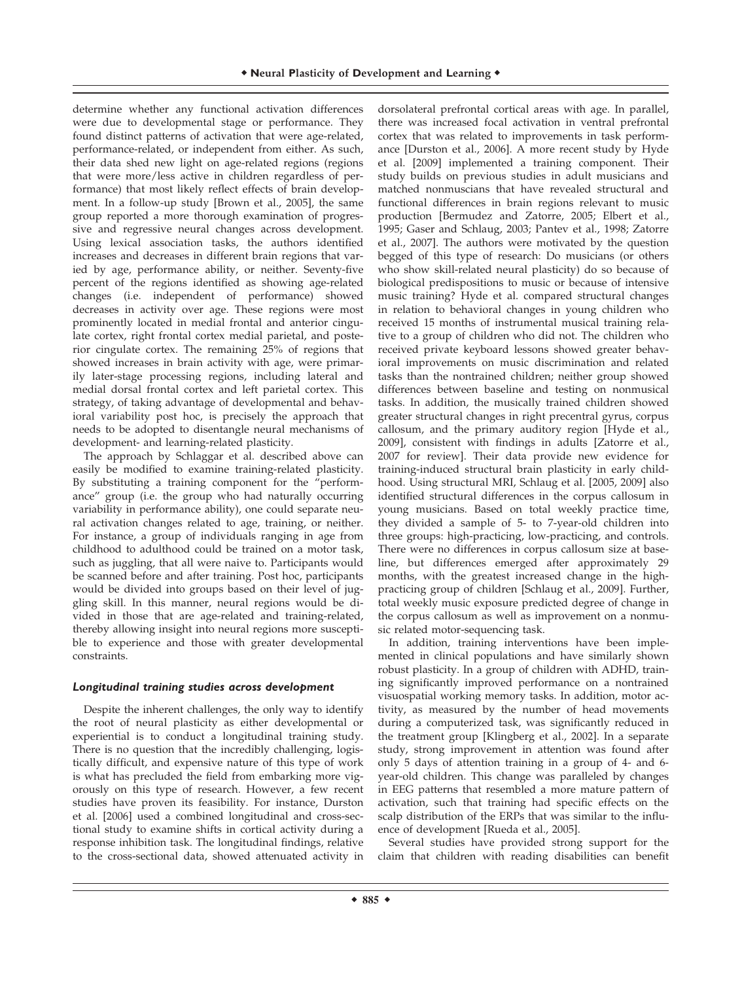determine whether any functional activation differences were due to developmental stage or performance. They found distinct patterns of activation that were age-related, performance-related, or independent from either. As such, their data shed new light on age-related regions (regions that were more/less active in children regardless of performance) that most likely reflect effects of brain development. In a follow-up study [Brown et al., 2005], the same group reported a more thorough examination of progressive and regressive neural changes across development. Using lexical association tasks, the authors identified increases and decreases in different brain regions that varied by age, performance ability, or neither. Seventy-five percent of the regions identified as showing age-related changes (i.e. independent of performance) showed decreases in activity over age. These regions were most prominently located in medial frontal and anterior cingulate cortex, right frontal cortex medial parietal, and posterior cingulate cortex. The remaining 25% of regions that showed increases in brain activity with age, were primarily later-stage processing regions, including lateral and medial dorsal frontal cortex and left parietal cortex. This strategy, of taking advantage of developmental and behavioral variability post hoc, is precisely the approach that needs to be adopted to disentangle neural mechanisms of development- and learning-related plasticity.

The approach by Schlaggar et al. described above can easily be modified to examine training-related plasticity. By substituting a training component for the ''performance'' group (i.e. the group who had naturally occurring variability in performance ability), one could separate neural activation changes related to age, training, or neither. For instance, a group of individuals ranging in age from childhood to adulthood could be trained on a motor task, such as juggling, that all were naive to. Participants would be scanned before and after training. Post hoc, participants would be divided into groups based on their level of juggling skill. In this manner, neural regions would be divided in those that are age-related and training-related, thereby allowing insight into neural regions more susceptible to experience and those with greater developmental constraints.

#### Longitudinal training studies across development

Despite the inherent challenges, the only way to identify the root of neural plasticity as either developmental or experiential is to conduct a longitudinal training study. There is no question that the incredibly challenging, logistically difficult, and expensive nature of this type of work is what has precluded the field from embarking more vigorously on this type of research. However, a few recent studies have proven its feasibility. For instance, Durston et al. [2006] used a combined longitudinal and cross-sectional study to examine shifts in cortical activity during a response inhibition task. The longitudinal findings, relative to the cross-sectional data, showed attenuated activity in

dorsolateral prefrontal cortical areas with age. In parallel, there was increased focal activation in ventral prefrontal cortex that was related to improvements in task performance [Durston et al., 2006]. A more recent study by Hyde et al. [2009] implemented a training component. Their study builds on previous studies in adult musicians and matched nonmuscians that have revealed structural and functional differences in brain regions relevant to music production [Bermudez and Zatorre, 2005; Elbert et al., 1995; Gaser and Schlaug, 2003; Pantev et al., 1998; Zatorre et al., 2007]. The authors were motivated by the question begged of this type of research: Do musicians (or others who show skill-related neural plasticity) do so because of biological predispositions to music or because of intensive music training? Hyde et al. compared structural changes in relation to behavioral changes in young children who received 15 months of instrumental musical training relative to a group of children who did not. The children who received private keyboard lessons showed greater behavioral improvements on music discrimination and related tasks than the nontrained children; neither group showed differences between baseline and testing on nonmusical tasks. In addition, the musically trained children showed greater structural changes in right precentral gyrus, corpus callosum, and the primary auditory region [Hyde et al., 2009], consistent with findings in adults [Zatorre et al., 2007 for review]. Their data provide new evidence for training-induced structural brain plasticity in early childhood. Using structural MRI, Schlaug et al. [2005, 2009] also identified structural differences in the corpus callosum in young musicians. Based on total weekly practice time, they divided a sample of 5- to 7-year-old children into three groups: high-practicing, low-practicing, and controls. There were no differences in corpus callosum size at baseline, but differences emerged after approximately 29 months, with the greatest increased change in the highpracticing group of children [Schlaug et al., 2009]. Further, total weekly music exposure predicted degree of change in the corpus callosum as well as improvement on a nonmusic related motor-sequencing task.

In addition, training interventions have been implemented in clinical populations and have similarly shown robust plasticity. In a group of children with ADHD, training significantly improved performance on a nontrained visuospatial working memory tasks. In addition, motor activity, as measured by the number of head movements during a computerized task, was significantly reduced in the treatment group [Klingberg et al., 2002]. In a separate study, strong improvement in attention was found after only 5 days of attention training in a group of 4- and 6 year-old children. This change was paralleled by changes in EEG patterns that resembled a more mature pattern of activation, such that training had specific effects on the scalp distribution of the ERPs that was similar to the influence of development [Rueda et al., 2005].

Several studies have provided strong support for the claim that children with reading disabilities can benefit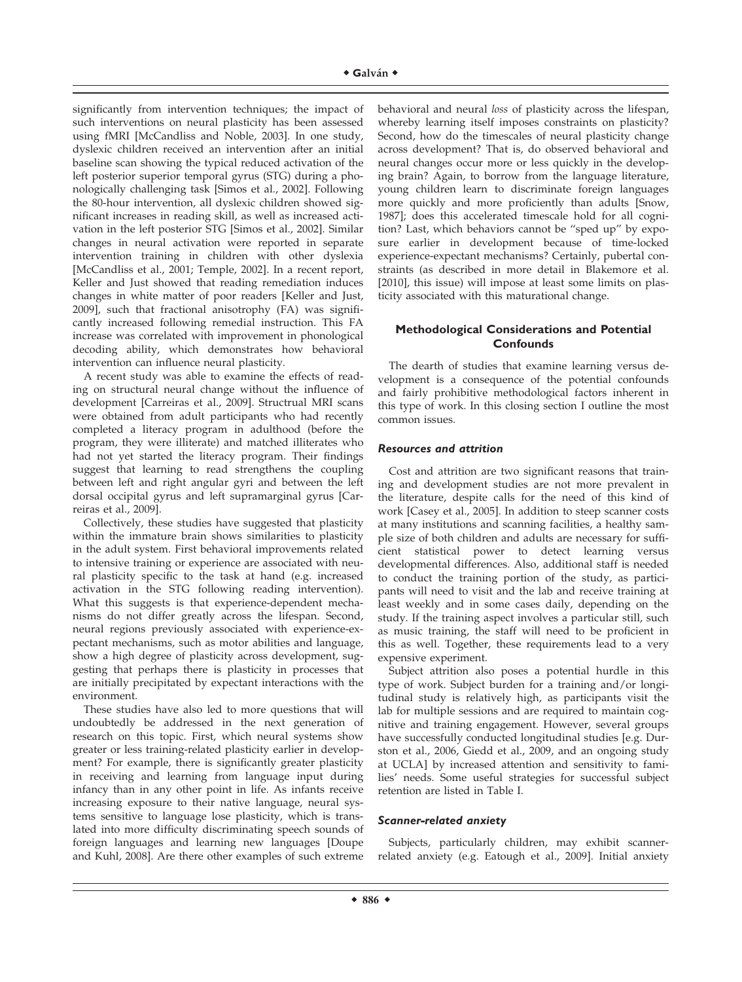significantly from intervention techniques; the impact of such interventions on neural plasticity has been assessed using fMRI [McCandliss and Noble, 2003]. In one study, dyslexic children received an intervention after an initial baseline scan showing the typical reduced activation of the left posterior superior temporal gyrus (STG) during a phonologically challenging task [Simos et al., 2002]. Following the 80-hour intervention, all dyslexic children showed significant increases in reading skill, as well as increased activation in the left posterior STG [Simos et al., 2002]. Similar changes in neural activation were reported in separate intervention training in children with other dyslexia [McCandliss et al., 2001; Temple, 2002]. In a recent report, Keller and Just showed that reading remediation induces changes in white matter of poor readers [Keller and Just, 2009], such that fractional anisotrophy (FA) was significantly increased following remedial instruction. This FA increase was correlated with improvement in phonological decoding ability, which demonstrates how behavioral intervention can influence neural plasticity.

A recent study was able to examine the effects of reading on structural neural change without the influence of development [Carreiras et al., 2009]. Structrual MRI scans were obtained from adult participants who had recently completed a literacy program in adulthood (before the program, they were illiterate) and matched illiterates who had not yet started the literacy program. Their findings suggest that learning to read strengthens the coupling between left and right angular gyri and between the left dorsal occipital gyrus and left supramarginal gyrus [Carreiras et al., 2009].

Collectively, these studies have suggested that plasticity within the immature brain shows similarities to plasticity in the adult system. First behavioral improvements related to intensive training or experience are associated with neural plasticity specific to the task at hand (e.g. increased activation in the STG following reading intervention). What this suggests is that experience-dependent mechanisms do not differ greatly across the lifespan. Second, neural regions previously associated with experience-expectant mechanisms, such as motor abilities and language, show a high degree of plasticity across development, suggesting that perhaps there is plasticity in processes that are initially precipitated by expectant interactions with the environment.

These studies have also led to more questions that will undoubtedly be addressed in the next generation of research on this topic. First, which neural systems show greater or less training-related plasticity earlier in development? For example, there is significantly greater plasticity in receiving and learning from language input during infancy than in any other point in life. As infants receive increasing exposure to their native language, neural systems sensitive to language lose plasticity, which is translated into more difficulty discriminating speech sounds of foreign languages and learning new languages [Doupe and Kuhl, 2008]. Are there other examples of such extreme

behavioral and neural loss of plasticity across the lifespan, whereby learning itself imposes constraints on plasticity? Second, how do the timescales of neural plasticity change across development? That is, do observed behavioral and neural changes occur more or less quickly in the developing brain? Again, to borrow from the language literature, young children learn to discriminate foreign languages more quickly and more proficiently than adults [Snow, 1987]; does this accelerated timescale hold for all cognition? Last, which behaviors cannot be ''sped up'' by exposure earlier in development because of time-locked experience-expectant mechanisms? Certainly, pubertal constraints (as described in more detail in Blakemore et al. [2010], this issue) will impose at least some limits on plasticity associated with this maturational change.

# **Methodological Considerations and Potential Confounds**

The dearth of studies that examine learning versus development is a consequence of the potential confounds and fairly prohibitive methodological factors inherent in this type of work. In this closing section I outline the most common issues.

## Resources and attrition

Cost and attrition are two significant reasons that training and development studies are not more prevalent in the literature, despite calls for the need of this kind of work [Casey et al., 2005]. In addition to steep scanner costs at many institutions and scanning facilities, a healthy sample size of both children and adults are necessary for sufficient statistical power to detect learning versus developmental differences. Also, additional staff is needed to conduct the training portion of the study, as participants will need to visit and the lab and receive training at least weekly and in some cases daily, depending on the study. If the training aspect involves a particular still, such as music training, the staff will need to be proficient in this as well. Together, these requirements lead to a very expensive experiment.

Subject attrition also poses a potential hurdle in this type of work. Subject burden for a training and/or longitudinal study is relatively high, as participants visit the lab for multiple sessions and are required to maintain cognitive and training engagement. However, several groups have successfully conducted longitudinal studies [e.g. Durston et al., 2006, Giedd et al., 2009, and an ongoing study at UCLA] by increased attention and sensitivity to families' needs. Some useful strategies for successful subject retention are listed in Table I.

#### Scanner-related anxiety

Subjects, particularly children, may exhibit scannerrelated anxiety (e.g. Eatough et al., 2009]. Initial anxiety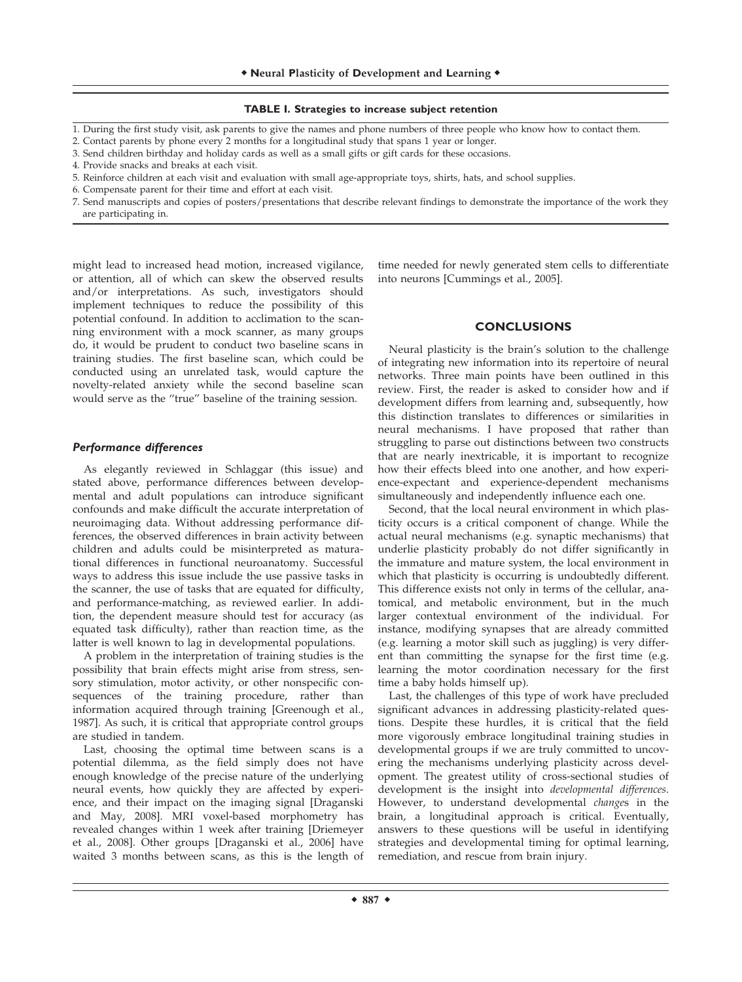**TABLE I. Strategies to increase subject retention**

- 1. During the first study visit, ask parents to give the names and phone numbers of three people who know how to contact them.
- 2. Contact parents by phone every 2 months for a longitudinal study that spans 1 year or longer.
- 3. Send children birthday and holiday cards as well as a small gifts or gift cards for these occasions.
- 4. Provide snacks and breaks at each visit.
- 5. Reinforce children at each visit and evaluation with small age-appropriate toys, shirts, hats, and school supplies.
- 6. Compensate parent for their time and effort at each visit.
- 7. Send manuscripts and copies of posters/presentations that describe relevant findings to demonstrate the importance of the work they are participating in.

might lead to increased head motion, increased vigilance, or attention, all of which can skew the observed results and/or interpretations. As such, investigators should implement techniques to reduce the possibility of this potential confound. In addition to acclimation to the scanning environment with a mock scanner, as many groups do, it would be prudent to conduct two baseline scans in training studies. The first baseline scan, which could be conducted using an unrelated task, would capture the novelty-related anxiety while the second baseline scan would serve as the ''true'' baseline of the training session.

#### Performance differences

As elegantly reviewed in Schlaggar (this issue) and stated above, performance differences between developmental and adult populations can introduce significant confounds and make difficult the accurate interpretation of neuroimaging data. Without addressing performance differences, the observed differences in brain activity between children and adults could be misinterpreted as maturational differences in functional neuroanatomy. Successful ways to address this issue include the use passive tasks in the scanner, the use of tasks that are equated for difficulty, and performance-matching, as reviewed earlier. In addition, the dependent measure should test for accuracy (as equated task difficulty), rather than reaction time, as the latter is well known to lag in developmental populations.

A problem in the interpretation of training studies is the possibility that brain effects might arise from stress, sensory stimulation, motor activity, or other nonspecific consequences of the training procedure, rather than information acquired through training [Greenough et al., 1987]. As such, it is critical that appropriate control groups are studied in tandem.

Last, choosing the optimal time between scans is a potential dilemma, as the field simply does not have enough knowledge of the precise nature of the underlying neural events, how quickly they are affected by experience, and their impact on the imaging signal [Draganski and May, 2008]. MRI voxel-based morphometry has revealed changes within 1 week after training [Driemeyer et al., 2008]. Other groups [Draganski et al., 2006] have waited 3 months between scans, as this is the length of

time needed for newly generated stem cells to differentiate into neurons [Cummings et al., 2005].

## **CONCLUSIONS**

Neural plasticity is the brain's solution to the challenge of integrating new information into its repertoire of neural networks. Three main points have been outlined in this review. First, the reader is asked to consider how and if development differs from learning and, subsequently, how this distinction translates to differences or similarities in neural mechanisms. I have proposed that rather than struggling to parse out distinctions between two constructs that are nearly inextricable, it is important to recognize how their effects bleed into one another, and how experience-expectant and experience-dependent mechanisms simultaneously and independently influence each one.

Second, that the local neural environment in which plasticity occurs is a critical component of change. While the actual neural mechanisms (e.g. synaptic mechanisms) that underlie plasticity probably do not differ significantly in the immature and mature system, the local environment in which that plasticity is occurring is undoubtedly different. This difference exists not only in terms of the cellular, anatomical, and metabolic environment, but in the much larger contextual environment of the individual. For instance, modifying synapses that are already committed (e.g. learning a motor skill such as juggling) is very different than committing the synapse for the first time (e.g. learning the motor coordination necessary for the first time a baby holds himself up).

Last, the challenges of this type of work have precluded significant advances in addressing plasticity-related questions. Despite these hurdles, it is critical that the field more vigorously embrace longitudinal training studies in developmental groups if we are truly committed to uncovering the mechanisms underlying plasticity across development. The greatest utility of cross-sectional studies of development is the insight into developmental differences. However, to understand developmental changes in the brain, a longitudinal approach is critical. Eventually, answers to these questions will be useful in identifying strategies and developmental timing for optimal learning, remediation, and rescue from brain injury.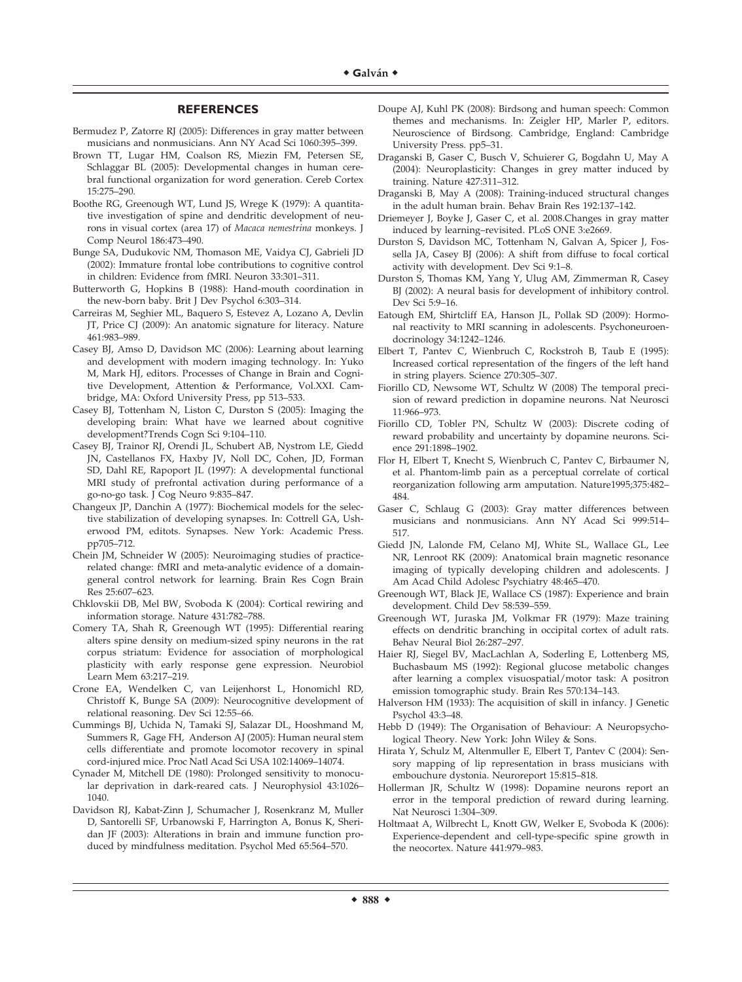#### **REFERENCES**

- Bermudez P, Zatorre RJ (2005): Differences in gray matter between musicians and nonmusicians. Ann NY Acad Sci 1060:395–399.
- Brown TT, Lugar HM, Coalson RS, Miezin FM, Petersen SE, Schlaggar BL (2005): Developmental changes in human cerebral functional organization for word generation. Cereb Cortex 15:275–290.
- Boothe RG, Greenough WT, Lund JS, Wrege K (1979): A quantitative investigation of spine and dendritic development of neurons in visual cortex (area 17) of Macaca nemestrina monkeys. J Comp Neurol 186:473–490.
- Bunge SA, Dudukovic NM, Thomason ME, Vaidya CJ, Gabrieli JD (2002): Immature frontal lobe contributions to cognitive control in children: Evidence from fMRI. Neuron 33:301–311.
- Butterworth G, Hopkins B (1988): Hand-mouth coordination in the new-born baby. Brit J Dev Psychol 6:303–314.
- Carreiras M, Seghier ML, Baquero S, Estevez A, Lozano A, Devlin JT, Price CJ (2009): An anatomic signature for literacy. Nature 461:983–989.
- Casey BJ, Amso D, Davidson MC (2006): Learning about learning and development with modern imaging technology. In: Yuko M, Mark HJ, editors. Processes of Change in Brain and Cognitive Development, Attention & Performance, Vol.XXI. Cambridge, MA: Oxford University Press, pp 513–533.
- Casey BJ, Tottenham N, Liston C, Durston S (2005): Imaging the developing brain: What have we learned about cognitive development?Trends Cogn Sci 9:104–110.
- Casey BJ, Trainor RJ, Orendi JL, Schubert AB, Nystrom LE, Giedd JN, Castellanos FX, Haxby JV, Noll DC, Cohen, JD, Forman SD, Dahl RE, Rapoport JL (1997): A developmental functional MRI study of prefrontal activation during performance of a go-no-go task. J Cog Neuro 9:835–847.
- Changeux JP, Danchin A (1977): Biochemical models for the selective stabilization of developing synapses. In: Cottrell GA, Usherwood PM, editots. Synapses. New York: Academic Press. pp705–712.
- Chein JM, Schneider W (2005): Neuroimaging studies of practicerelated change: fMRI and meta-analytic evidence of a domaingeneral control network for learning. Brain Res Cogn Brain Res 25:607–623.
- Chklovskii DB, Mel BW, Svoboda K (2004): Cortical rewiring and information storage. Nature 431:782–788.
- Comery TA, Shah R, Greenough WT (1995): Differential rearing alters spine density on medium-sized spiny neurons in the rat corpus striatum: Evidence for association of morphological plasticity with early response gene expression. Neurobiol Learn Mem 63:217–219.
- Crone EA, Wendelken C, van Leijenhorst L, Honomichl RD, Christoff K, Bunge SA (2009): Neurocognitive development of relational reasoning. Dev Sci 12:55–66.
- Cummings BJ, Uchida N, Tamaki SJ, Salazar DL, Hooshmand M, Summers R, Gage FH, Anderson AJ (2005): Human neural stem cells differentiate and promote locomotor recovery in spinal cord-injured mice. Proc Natl Acad Sci USA 102:14069–14074.
- Cynader M, Mitchell DE (1980): Prolonged sensitivity to monocular deprivation in dark-reared cats. J Neurophysiol 43:1026– 1040.
- Davidson RJ, Kabat-Zinn J, Schumacher J, Rosenkranz M, Muller D, Santorelli SF, Urbanowski F, Harrington A, Bonus K, Sheridan JF (2003): Alterations in brain and immune function produced by mindfulness meditation. Psychol Med 65:564–570.
- Doupe AJ, Kuhl PK (2008): Birdsong and human speech: Common themes and mechanisms. In: Zeigler HP, Marler P, editors. Neuroscience of Birdsong. Cambridge, England: Cambridge University Press. pp5–31.
- Draganski B, Gaser C, Busch V, Schuierer G, Bogdahn U, May A (2004): Neuroplasticity: Changes in grey matter induced by training. Nature 427:311–312.
- Draganski B, May A (2008): Training-induced structural changes in the adult human brain. Behav Brain Res 192:137–142.
- Driemeyer J, Boyke J, Gaser C, et al. 2008.Changes in gray matter induced by learning–revisited. PLoS ONE 3:e2669.
- Durston S, Davidson MC, Tottenham N, Galvan A, Spicer J, Fossella JA, Casey BJ (2006): A shift from diffuse to focal cortical activity with development. Dev Sci 9:1–8.
- Durston S, Thomas KM, Yang Y, Ulug AM, Zimmerman R, Casey BJ (2002): A neural basis for development of inhibitory control. Dev Sci 5:9–16.
- Eatough EM, Shirtcliff EA, Hanson JL, Pollak SD (2009): Hormonal reactivity to MRI scanning in adolescents. Psychoneuroendocrinology 34:1242–1246.
- Elbert T, Pantev C, Wienbruch C, Rockstroh B, Taub E (1995): Increased cortical representation of the fingers of the left hand in string players. Science 270:305–307.
- Fiorillo CD, Newsome WT, Schultz W (2008) The temporal precision of reward prediction in dopamine neurons. Nat Neurosci 11:966–973.
- Fiorillo CD, Tobler PN, Schultz W (2003): Discrete coding of reward probability and uncertainty by dopamine neurons. Science 291:1898–1902.
- Flor H, Elbert T, Knecht S, Wienbruch C, Pantev C, Birbaumer N, et al. Phantom-limb pain as a perceptual correlate of cortical reorganization following arm amputation. Nature1995;375:482– 484.
- Gaser C, Schlaug G (2003): Gray matter differences between musicians and nonmusicians. Ann NY Acad Sci 999:514– 517.
- Giedd JN, Lalonde FM, Celano MJ, White SL, Wallace GL, Lee NR, Lenroot RK (2009): Anatomical brain magnetic resonance imaging of typically developing children and adolescents. J Am Acad Child Adolesc Psychiatry 48:465–470.
- Greenough WT, Black JE, Wallace CS (1987): Experience and brain development. Child Dev 58:539–559.
- Greenough WT, Juraska JM, Volkmar FR (1979): Maze training effects on dendritic branching in occipital cortex of adult rats. Behav Neural Biol 26:287–297.
- Haier RJ, Siegel BV, MacLachlan A, Soderling E, Lottenberg MS, Buchasbaum MS (1992): Regional glucose metabolic changes after learning a complex visuospatial/motor task: A positron emission tomographic study. Brain Res 570:134–143.
- Halverson HM (1933): The acquisition of skill in infancy. J Genetic Psychol 43:3–48.
- Hebb D (1949): The Organisation of Behaviour: A Neuropsychological Theory. New York: John Wiley & Sons.
- Hirata Y, Schulz M, Altenmuller E, Elbert T, Pantev C (2004): Sensory mapping of lip representation in brass musicians with embouchure dystonia. Neuroreport 15:815–818.
- Hollerman JR, Schultz W (1998): Dopamine neurons report an error in the temporal prediction of reward during learning. Nat Neurosci 1:304–309.
- Holtmaat A, Wilbrecht L, Knott GW, Welker E, Svoboda K (2006): Experience-dependent and cell-type-specific spine growth in the neocortex. Nature 441:979–983.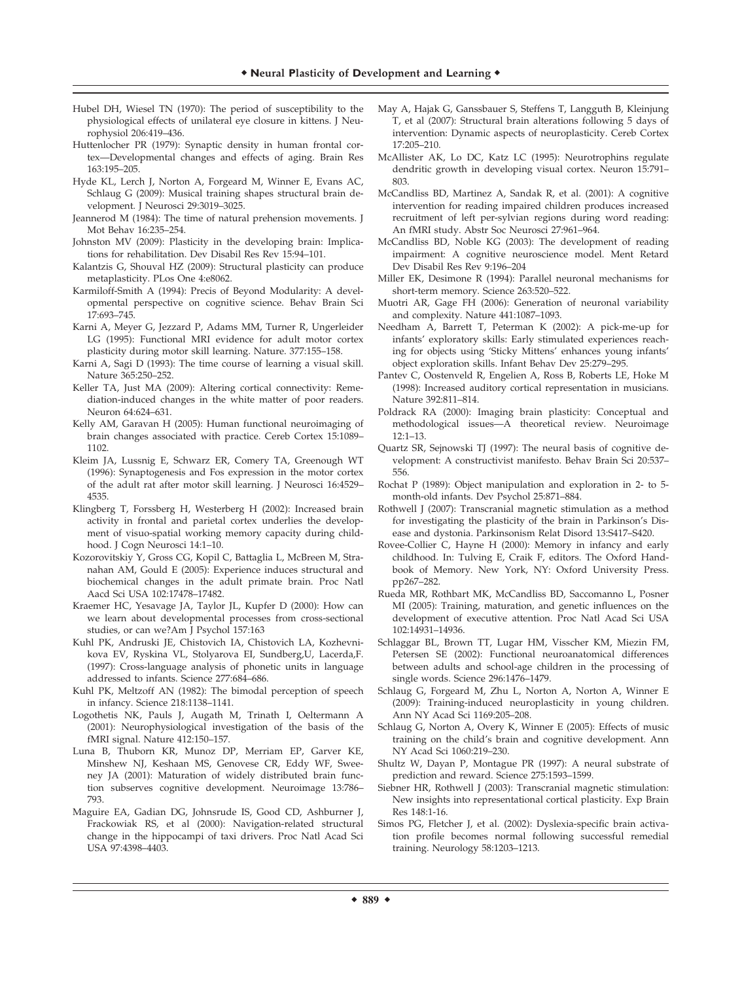- Hubel DH, Wiesel TN (1970): The period of susceptibility to the physiological effects of unilateral eye closure in kittens. J Neurophysiol 206:419–436.
- Huttenlocher PR (1979): Synaptic density in human frontal cortex—Developmental changes and effects of aging. Brain Res 163:195–205.
- Hyde KL, Lerch J, Norton A, Forgeard M, Winner E, Evans AC, Schlaug G (2009): Musical training shapes structural brain development. J Neurosci 29:3019–3025.
- Jeannerod M (1984): The time of natural prehension movements. J Mot Behav 16:235–254.
- Johnston MV (2009): Plasticity in the developing brain: Implications for rehabilitation. Dev Disabil Res Rev 15:94–101.
- Kalantzis G, Shouval HZ (2009): Structural plasticity can produce metaplasticity. PLos One 4:e8062.
- Karmiloff-Smith A (1994): Precis of Beyond Modularity: A developmental perspective on cognitive science. Behav Brain Sci 17:693–745.
- Karni A, Meyer G, Jezzard P, Adams MM, Turner R, Ungerleider LG (1995): Functional MRI evidence for adult motor cortex plasticity during motor skill learning. Nature. 377:155–158.
- Karni A, Sagi D (1993): The time course of learning a visual skill. Nature 365:250–252.
- Keller TA, Just MA (2009): Altering cortical connectivity: Remediation-induced changes in the white matter of poor readers. Neuron 64:624–631.
- Kelly AM, Garavan H (2005): Human functional neuroimaging of brain changes associated with practice. Cereb Cortex 15:1089– 1102.
- Kleim JA, Lussnig E, Schwarz ER, Comery TA, Greenough WT (1996): Synaptogenesis and Fos expression in the motor cortex of the adult rat after motor skill learning. J Neurosci 16:4529– 4535.
- Klingberg T, Forssberg H, Westerberg H (2002): Increased brain activity in frontal and parietal cortex underlies the development of visuo-spatial working memory capacity during childhood. J Cogn Neurosci 14:1–10.
- Kozorovitskiy Y, Gross CG, Kopil C, Battaglia L, McBreen M, Stranahan AM, Gould E (2005): Experience induces structural and biochemical changes in the adult primate brain. Proc Natl Aacd Sci USA 102:17478–17482.
- Kraemer HC, Yesavage JA, Taylor JL, Kupfer D (2000): How can we learn about developmental processes from cross-sectional studies, or can we?Am J Psychol 157:163
- Kuhl PK, Andruski JE, Chistovich IA, Chistovich LA, Kozhevnikova EV, Ryskina VL, Stolyarova EI, Sundberg,U, Lacerda,F. (1997): Cross-language analysis of phonetic units in language addressed to infants. Science 277:684–686.
- Kuhl PK, Meltzoff AN (1982): The bimodal perception of speech in infancy. Science 218:1138–1141.
- Logothetis NK, Pauls J, Augath M, Trinath I, Oeltermann A (2001): Neurophysiological investigation of the basis of the fMRI signal. Nature 412:150–157.
- Luna B, Thuborn KR, Munoz DP, Merriam EP, Garver KE, Minshew NJ, Keshaan MS, Genovese CR, Eddy WF, Sweeney JA (2001): Maturation of widely distributed brain function subserves cognitive development. Neuroimage 13:786– 793.
- Maguire EA, Gadian DG, Johnsrude IS, Good CD, Ashburner J, Frackowiak RS, et al (2000): Navigation-related structural change in the hippocampi of taxi drivers. Proc Natl Acad Sci USA 97:4398–4403.
- May A, Hajak G, Ganssbauer S, Steffens T, Langguth B, Kleinjung T, et al (2007): Structural brain alterations following 5 days of intervention: Dynamic aspects of neuroplasticity. Cereb Cortex 17:205–210.
- McAllister AK, Lo DC, Katz LC (1995): Neurotrophins regulate dendritic growth in developing visual cortex. Neuron 15:791– 803.
- McCandliss BD, Martinez A, Sandak R, et al. (2001): A cognitive intervention for reading impaired children produces increased recruitment of left per-sylvian regions during word reading: An fMRI study. Abstr Soc Neurosci 27:961–964.
- McCandliss BD, Noble KG (2003): The development of reading impairment: A cognitive neuroscience model. Ment Retard Dev Disabil Res Rev 9:196–204
- Miller EK, Desimone R (1994): Parallel neuronal mechanisms for short-term memory. Science 263:520–522.
- Muotri AR, Gage FH (2006): Generation of neuronal variability and complexity. Nature 441:1087–1093.
- Needham A, Barrett T, Peterman K (2002): A pick-me-up for infants' exploratory skills: Early stimulated experiences reaching for objects using 'Sticky Mittens' enhances young infants' object exploration skills. Infant Behav Dev 25:279–295.
- Pantev C, Oostenveld R, Engelien A, Ross B, Roberts LE, Hoke M (1998): Increased auditory cortical representation in musicians. Nature 392:811–814.
- Poldrack RA (2000): Imaging brain plasticity: Conceptual and methodological issues—A theoretical review. Neuroimage 12:1–13.
- Quartz SR, Sejnowski TJ (1997): The neural basis of cognitive development: A constructivist manifesto. Behav Brain Sci 20:537– 556.
- Rochat P (1989): Object manipulation and exploration in 2- to 5 month-old infants. Dev Psychol 25:871–884.
- Rothwell J (2007): Transcranial magnetic stimulation as a method for investigating the plasticity of the brain in Parkinson's Disease and dystonia. Parkinsonism Relat Disord 13:S417–S420.
- Rovee-Collier C, Hayne H (2000): Memory in infancy and early childhood. In: Tulving E, Craik F, editors. The Oxford Handbook of Memory. New York, NY: Oxford University Press. pp267–282.
- Rueda MR, Rothbart MK, McCandliss BD, Saccomanno L, Posner MI (2005): Training, maturation, and genetic influences on the development of executive attention. Proc Natl Acad Sci USA 102:14931–14936.
- Schlaggar BL, Brown TT, Lugar HM, Visscher KM, Miezin FM, Petersen SE (2002): Functional neuroanatomical differences between adults and school-age children in the processing of single words. Science 296:1476–1479.
- Schlaug G, Forgeard M, Zhu L, Norton A, Norton A, Winner E (2009): Training-induced neuroplasticity in young children. Ann NY Acad Sci 1169:205–208.
- Schlaug G, Norton A, Overy K, Winner E (2005): Effects of music training on the child's brain and cognitive development. Ann NY Acad Sci 1060:219–230.
- Shultz W, Dayan P, Montague PR (1997): A neural substrate of prediction and reward. Science 275:1593–1599.
- Siebner HR, Rothwell J (2003): Transcranial magnetic stimulation: New insights into representational cortical plasticity. Exp Brain Res 148:1-16.
- Simos PG, Fletcher J, et al. (2002): Dyslexia-specific brain activation profile becomes normal following successful remedial training. Neurology 58:1203–1213.